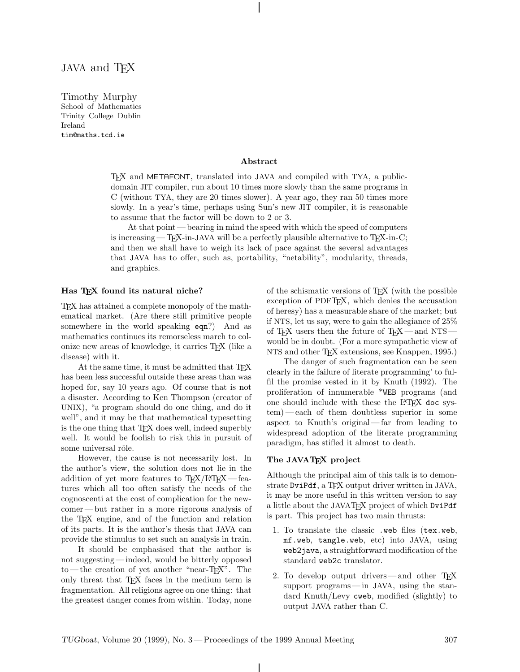# JAVA and T<sub>F</sub>X

Timothy Murphy School of Mathematics Trinity College Dublin Ireland tim@maths.tcd.ie

#### Abstract

TEX and METAFONT, translated into JAVA and compiled with TYA, a publicdomain JIT compiler, run about 10 times more slowly than the same programs in C (without TYA, they are 20 times slower). A year ago, they ran 50 times more slowly. In a year's time, perhaps using Sun's new JIT compiler, it is reasonable to assume that the factor will be down to 2 or 3.

At that point— bearing in mind the speed with which the speed of computers is increasing—TEX-in-JAVA will be a perfectly plausible alternative to  $T_{E}X$ -in-C; and then we shall have to weigh its lack of pace against the several advantages that JAVA has to offer, such as, portability, "netability", modularity, threads, and graphics.

#### Has TFX found its natural niche?

TEX has attained a complete monopoly of the mathematical market. (Are there still primitive people somewhere in the world speaking eqn?) And as mathematics continues its remorseless march to colonize new areas of knowledge, it carries TEX (like a disease) with it.

At the same time, it must be admitted that TFX has been less successful outside these areas than was hoped for, say 10 years ago. Of course that is not a disaster. According to Ken Thompson (creator of UNIX), "a program should do one thing, and do it well", and it may be that mathematical typesetting is the one thing that T<sub>EX</sub> does well, indeed superbly well. It would be foolish to risk this in pursuit of some universal rôle.

However, the cause is not necessarily lost. In the author's view, the solution does not lie in the addition of yet more features to  $T_{F}X/HT_{F}X$  — features which all too often satisfy the needs of the cognoscenti at the cost of complication for the newcomer— but rather in a more rigorous analysis of the TEX engine, and of the function and relation of its parts. It is the author's thesis that JAVA can provide the stimulus to set such an analysis in train.

It should be emphasised that the author is not suggesting— indeed, would be bitterly opposed to — the creation of yet another "near-TEX". The only threat that TEX faces in the medium term is fragmentation. All religions agree on one thing: that the greatest danger comes from within. Today, none of the schismatic versions of TEX (with the possible exception of PDFTEX, which denies the accusation of heresy) has a measurable share of the market; but if NTS, let us say, were to gain the allegiance of 25% of T<sub>E</sub>X users then the future of T<sub>E</sub>X — and NTS would be in doubt. (For a more sympathetic view of NTS and other TEX extensions, see Knappen, 1995.)

The danger of such fragmentation can be seen clearly in the failure of literate programming' to fulfil the promise vested in it by Knuth (1992). The proliferation of innumerable \*WEB programs (and one should include with these the LAT<sub>EX</sub> doc system) — each of them doubtless superior in some aspect to Knuth's original— far from leading to widespread adoption of the literate programming paradigm, has stifled it almost to death.

### The JAVATEX project

Although the principal aim of this talk is to demonstrate DviPdf, a TEX output driver written in JAVA, it may be more useful in this written version to say a little about the JAVATEX project of which DviPdf is part. This project has two main thrusts:

- 1. To translate the classic .web files (tex.web, mf.web, tangle.web, etc) into JAVA, using web2java, a straightforward modification of the standard web2c translator.
- 2. To develop output drivers—and other TFX support programs— in JAVA, using the standard Knuth/Levy cweb, modified (slightly) to output JAVA rather than C.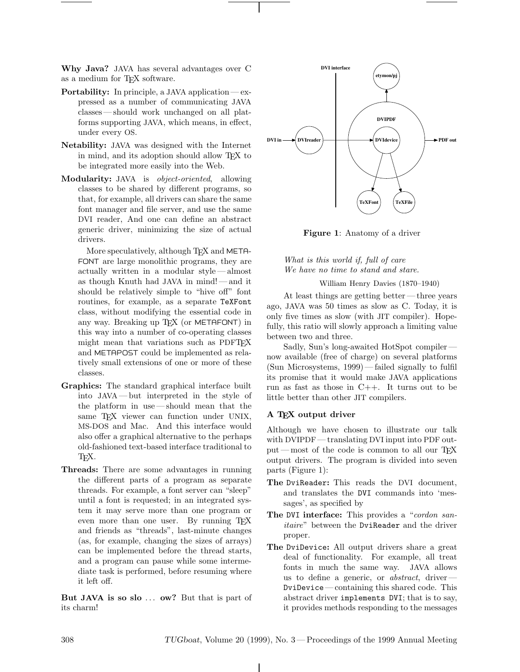Why Java? JAVA has several advantages over C as a medium for TEX software.

- Portability: In principle, a JAVA application— expressed as a number of communicating JAVA classes— should work unchanged on all platforms supporting JAVA, which means, in effect, under every OS.
- Netability: JAVA was designed with the Internet in mind, and its adoption should allow T<sub>EX</sub> to be integrated more easily into the Web.
- Modularity: JAVA is object-oriented, allowing classes to be shared by different programs, so that, for example, all drivers can share the same font manager and file server, and use the same DVI reader, And one can define an abstract generic driver, minimizing the size of actual drivers.

More speculatively, although T<sub>E</sub>X and META-FONT are large monolithic programs, they are actually written in a modular style — almost as though Knuth had JAVA in mind! — and it should be relatively simple to "hive off" font routines, for example, as a separate TeXFont class, without modifying the essential code in any way. Breaking up  $TFX$  (or METAFONT) in this way into a number of co-operating classes might mean that variations such as PDFT<sub>EX</sub> and METAPOST could be implemented as relatively small extensions of one or more of these classes.

- Graphics: The standard graphical interface built into JAVA — but interpreted in the style of the platform in use — should mean that the same T<sub>F</sub>X viewer can function under UNIX, MS-DOS and Mac. And this interface would also offer a graphical alternative to the perhaps old-fashioned text-based interface traditional to TEX.
- Threads: There are some advantages in running the different parts of a program as separate threads. For example, a font server can "sleep" until a font is requested; in an integrated system it may serve more than one program or even more than one user. By running TFX and friends as "threads", last-minute changes (as, for example, changing the sizes of arrays) can be implemented before the thread starts, and a program can pause while some intermediate task is performed, before resuming where it left off.

But JAVA is so slo ... ow? But that is part of its charm!



Figure 1: Anatomy of a driver

What is this world if, full of care We have no time to stand and stare.

William Henry Davies (1870–1940)

At least things are getting better — three years ago, JAVA was 50 times as slow as C. Today, it is only five times as slow (with JIT compiler). Hopefully, this ratio will slowly approach a limiting value between two and three.

Sadly, Sun's long-awaited HotSpot compiler now available (free of charge) on several platforms (Sun Microsystems, 1999)— failed signally to fulfil its promise that it would make JAVA applications run as fast as those in C++. It turns out to be little better than other JIT compilers.

## A TEX output driver

Although we have chosen to illustrate our talk with DVIPDF— translating DVI input into PDF output — most of the code is common to all our T<sub>EX</sub> output drivers. The program is divided into seven parts (Figure 1):

- The DviReader: This reads the DVI document, and translates the DVI commands into 'messages', as specified by
- The DVI interface: This provides a "cordon sanitaire" between the DviReader and the driver proper.
- The DviDevice: All output drivers share a great deal of functionality. For example, all treat fonts in much the same way. JAVA allows us to define a generic, or *abstract*, driver— DviDevice— containing this shared code. This abstract driver implements DVI; that is to say, it provides methods responding to the messages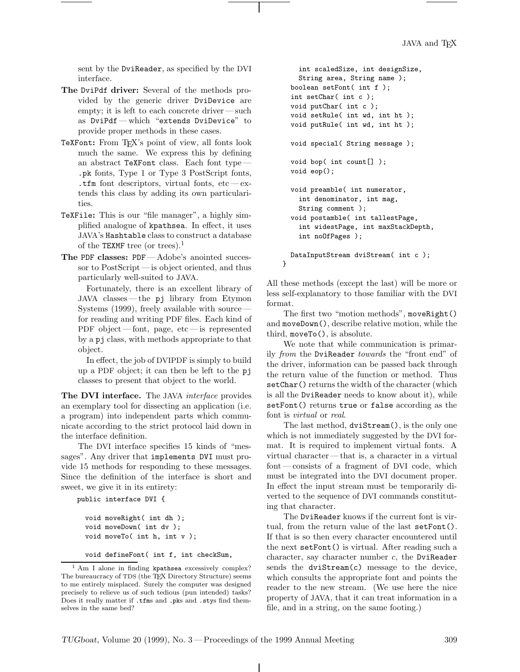sent by the DviReader, as specified by the DVI interface.

- The DviPdf driver: Several of the methods provided by the generic driver DviDevice are empty; it is left to each concrete driver— such as DviPdf— which "extends DviDevice" to provide proper methods in these cases.
- TeXFont: From TEX's point of view, all fonts look much the same. We express this by defining an abstract TeXFont class. Each font type — .pk fonts, Type 1 or Type 3 PostScript fonts, .tfm font descriptors, virtual fonts,  $etc$  — extends this class by adding its own particularities.
- TeXFile: This is our "file manager", a highly simplified analogue of kpathsea. In effect, it uses JAVA's Hashtable class to construct a database of the TEXMF tree (or trees).<sup>1</sup>
- The PDF classes: PDF— Adobe's anointed successor to PostScript— is object oriented, and thus particularly well-suited to JAVA.

Fortunately, there is an excellent library of JAVA classes— the pj library from Etymon Systems (1999), freely available with source for reading and writing PDF files. Each kind of PDF object— font, page, etc — is represented by a pj class, with methods appropriate to that object.

In effect, the job of DVIPDF is simply to build up a PDF object; it can then be left to the pj classes to present that object to the world.

The DVI interface. The JAVA *interface* provides an exemplary tool for dissecting an application (i.e. a program) into independent parts which communicate according to the strict protocol laid down in the interface definition.

The DVI interface specifies 15 kinds of "messages". Any driver that implements DVI must provide 15 methods for responding to these messages. Since the definition of the interface is short and sweet, we give it in its entirety:

public interface DVI {

```
void moveRight( int dh );
void moveDown( int dv );
void moveTo( int h, int v );
```
void defineFont( int f, int checkSum,

```
int scaledSize, int designSize,
  String area, String name );
boolean setFont( int f );
int setChar( int c );
void putChar( int c );
void setRule( int wd, int ht );
void putRule( int wd, int ht );
void special( String message );
void bop( int count[] );
void eop();
void preamble( int numerator,
  int denominator, int mag,
  String comment );
void postamble( int tallestPage,
  int widestPage, int maxStackDepth,
  int noOfPages );
DataInputStream dviStream( int c );
```
All these methods (except the last) will be more or less self-explanatory to those familiar with the DVI format.

}

The first two "motion methods", moveRight() and moveDown(), describe relative motion, while the third, moveTo(), is absolute.

We note that while communication is primarily from the DviReader towards the "front end" of the driver, information can be passed back through the return value of the function or method. Thus setChar() returns the width of the character (which is all the DviReader needs to know about it), while setFont() returns true or false according as the font is virtual or real.

The last method, dviStream(), is the only one which is not immediately suggested by the DVI format. It is required to implement virtual fonts. A virtual character— that is, a character in a virtual font— consists of a fragment of DVI code, which must be integrated into the DVI document proper. In effect the input stream must be temporarily diverted to the sequence of DVI commands constituting that character.

The DviReader knows if the current font is virtual, from the return value of the last setFont(). If that is so then every character encountered until the next setFont() is virtual. After reading such a character, say character number  $c$ , the DviReader sends the dviStream(c) message to the device, which consults the appropriate font and points the reader to the new stream. (We use here the nice property of JAVA, that it can treat information in a file, and in a string, on the same footing.)

<sup>&</sup>lt;sup>1</sup> Am I alone in finding kpathsea excessively complex? The bureaucracy of TDS (the TEX Directory Structure) seems to me entirely misplaced. Surely the computer was designed precisely to relieve us of such tedious (pun intended) tasks? Does it really matter if .tfms and .pks and .stys find themselves in the same bed?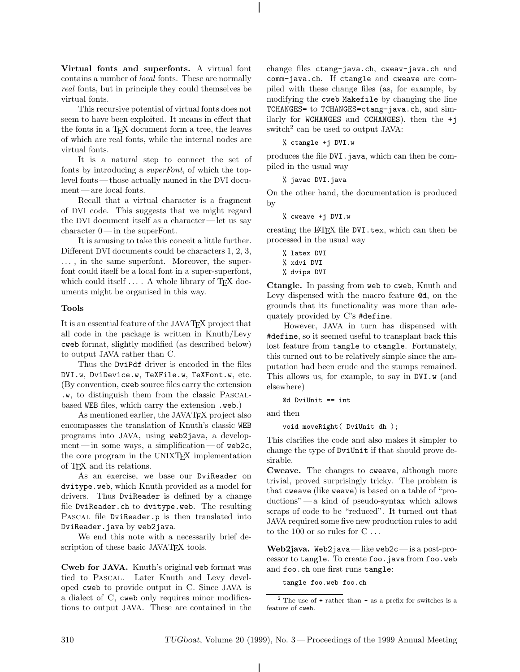Virtual fonts and superfonts. A virtual font contains a number of local fonts. These are normally real fonts, but in principle they could themselves be virtual fonts.

This recursive potential of virtual fonts does not seem to have been exploited. It means in effect that the fonts in a TEX document form a tree, the leaves of which are real fonts, while the internal nodes are virtual fonts.

It is a natural step to connect the set of fonts by introducing a superFont, of which the toplevel fonts— those actually named in the DVI document— are local fonts.

Recall that a virtual character is a fragment of DVI code. This suggests that we might regard the DVI document itself as a character— let us say character 0— in the superFont.

It is amusing to take this conceit a little further. Different DVI documents could be characters 1, 2, 3, ... , in the same superfont. Moreover, the superfont could itself be a local font in a super-superfont, which could itself  $\dots$ . A whole library of TFX documents might be organised in this way.

## Tools

It is an essential feature of the JAVATEX project that all code in the package is written in Knuth/Levy cweb format, slightly modified (as described below) to output JAVA rather than C.

Thus the DviPdf driver is encoded in the files DVI.w, DviDevice.w, TeXFile.w, TeXFont.w, etc. (By convention, cweb source files carry the extension .w, to distinguish them from the classic Pascalbased WEB files, which carry the extension .web.)

As mentioned earlier, the JAVATEX project also encompasses the translation of Knuth's classic WEB programs into JAVA, using web2java, a development—in some ways, a simplification—of web2c, the core program in the UNIXT<sub>F</sub>X implementation of TEX and its relations.

As an exercise, we base our DviReader on dvitype.web, which Knuth provided as a model for drivers. Thus DviReader is defined by a change file DviReader.ch to dvitype.web. The resulting PASCAL file DviReader.p is then translated into DviReader.java by web2java.

We end this note with a necessarily brief description of these basic JAVATEX tools.

Cweb for JAVA. Knuth's original web format was tied to Pascal. Later Knuth and Levy developed cweb to provide output in C. Since JAVA is a dialect of C, cweb only requires minor modifications to output JAVA. These are contained in the

change files ctang-java.ch, cweav-java.ch and comm-java.ch. If ctangle and cweave are compiled with these change files (as, for example, by modifying the cweb Makefile by changing the line TCHANGES= to TCHANGES=ctang-java.ch, and similarly for WCHANGES and CCHANGES). then the +j switch<sup>2</sup> can be used to output JAVA:

% ctangle +j DVI.w

produces the file DVI.java, which can then be compiled in the usual way

% javac DVI.java

On the other hand, the documentation is produced by

% cweave +j DVI.w

creating the L<sup>A</sup>TEX file DVI.tex, which can then be processed in the usual way

% latex DVI % xdvi DVI % dvips DVI

Ctangle. In passing from web to cweb, Knuth and Levy dispensed with the macro feature @d, on the grounds that its functionality was more than adequately provided by C's #define.

However, JAVA in turn has dispensed with #define, so it seemed useful to transplant back this lost feature from tangle to ctangle. Fortunately, this turned out to be relatively simple since the amputation had been crude and the stumps remained. This allows us, for example, to say in DVI.w (and elsewhere)

@d DviUnit == int

and then

void moveRight( DviUnit dh );

This clarifies the code and also makes it simpler to change the type of DviUnit if that should prove desirable.

Cweave. The changes to cweave, although more trivial, proved surprisingly tricky. The problem is that cweave (like weave) is based on a table of "productions" — a kind of pseudo-syntax which allows scraps of code to be "reduced". It turned out that JAVA required some five new production rules to add to the 100 or so rules for  $C \ldots$ 

Web2java. Web2java— like web2c— is a post-processor to tangle. To create foo.java from foo.web and foo.ch one first runs tangle:

tangle foo.web foo.ch

 $2$  The use of  $+$  rather than  $-$  as a prefix for switches is a feature of cweb.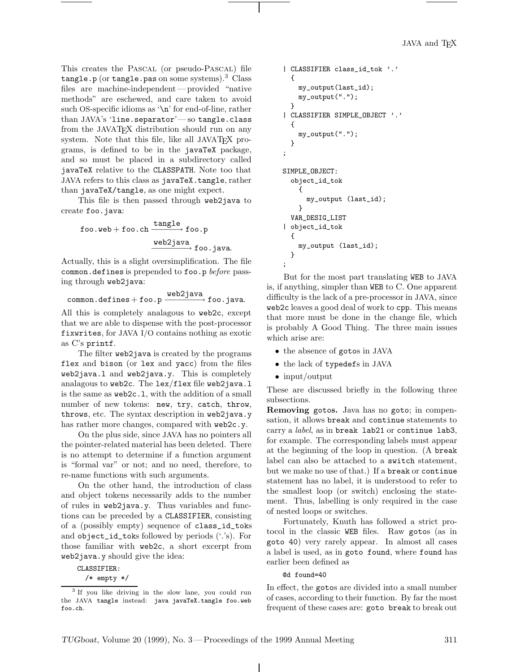This creates the Pascal (or pseudo-Pascal) file tangle.p (or tangle.pas on some systems).<sup>3</sup> Class files are machine-independent— provided "native methods" are eschewed, and care taken to avoid such OS-specific idioms as '\n' for end-of-line, rather than JAVA's 'line.separator'— so tangle.class from the JAVATEX distribution should run on any system. Note that this file, like all JAVATEX programs, is defined to be in the javaTeX package, and so must be placed in a subdirectory called javaTeX relative to the CLASSPATH. Note too that JAVA refers to this class as javaTeX.tangle, rather than javaTeX/tangle, as one might expect.

This file is then passed through web2java to create foo.java:

> ${\tt foo.web+foo.ch} \xrightarrow{{\tt tangle}} {\tt foo.p}$ <u>web2java</u><br>
> → foo.java.

Actually, this is a slight oversimplification. The file common.defines is prepended to foo.p before passing through web2java:

common.defines+ foo.p web2java −−−−−−−→ foo.java.

All this is completely analagous to web2c, except that we are able to dispense with the post-processor fixwrites, for JAVA I/O contains nothing as exotic as C's printf.

The filter web2java is created by the programs flex and bison (or lex and yacc) from the files web2java.l and web2java.y. This is completely analagous to web2c. The lex/flex file web2java.l is the same as web2c.l, with the addition of a small number of new tokens: new, try, catch, throw, throws, etc. The syntax description in web2java.y has rather more changes, compared with web2c.y.

On the plus side, since JAVA has no pointers all the pointer-related material has been deleted. There is no attempt to determine if a function argument is "formal var" or not; and no need, therefore, to re-name functions with such arguments.

On the other hand, the introduction of class and object tokens necessarily adds to the number of rules in web2java.y. Thus variables and functions can be preceded by a CLASSIFIER, consisting of a (possibly empty) sequence of class\_id\_toks and object\_id\_toks followed by periods ('.'s). For those familiar with web2c, a short excerpt from web2java.y should give the idea:

CLASSIFIER:

/\* empty \*/

```
| CLASSIFIER class_id_tok '.'
  {
    my_output(last_id);
    my_output(".");
  }
| CLASSIFIER SIMPLE_OBJECT '.'
  {
    my_output(".");
  }
;
SIMPLE_OBJECT:
  object_id_tok
    {
      my_output (last_id);
    }
  VAR_DESIG_LIST
| object_id_tok
  {
    my_output (last_id);
  }
;
```
But for the most part translating WEB to JAVA is, if anything, simpler than WEB to C. One apparent difficulty is the lack of a pre-processor in JAVA, since web2c leaves a good deal of work to cpp. This means that more must be done in the change file, which is probably A Good Thing. The three main issues which arise are:

- the absence of gotos in JAVA
- the lack of typedefs in JAVA
- input/output

These are discussed briefly in the following three subsections.

Removing gotos. Java has no goto; in compensation, it allows break and continue statements to carry a *label*, as in break lab21 or continue lab3, for example. The corresponding labels must appear at the beginning of the loop in question. (A break label can also be attached to a switch statement, but we make no use of that.) If a break or continue statement has no label, it is understood to refer to the smallest loop (or switch) enclosing the statement. Thus, labelling is only required in the case of nested loops or switches.

Fortunately, Knuth has followed a strict protocol in the classic WEB files. Raw gotos (as in goto 40) very rarely appear. In almost all cases a label is used, as in goto found, where found has earlier been defined as

### @d found=40

In effect, the gotos are divided into a small number of cases, according to their function. By far the most frequent of these cases are: goto break to break out

<sup>&</sup>lt;sup>3</sup> If you like driving in the slow lane, you could run the JAVA tangle instead: java javaTeX.tangle foo.web foo.ch.